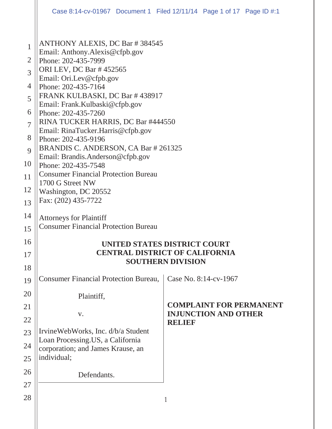|                                            | Case 8:14-cv-01967 Document 1 Filed 12/11/14 Page 1 of 17 Page ID #:1                                                                                                                                             |               |                                                               |  |  |  |
|--------------------------------------------|-------------------------------------------------------------------------------------------------------------------------------------------------------------------------------------------------------------------|---------------|---------------------------------------------------------------|--|--|--|
| 1<br>$\overline{2}$<br>3<br>$\overline{4}$ | <b>ANTHONY ALEXIS, DC Bar #384545</b><br>Email: Anthony.Alexis@cfpb.gov<br>Phone: 202-435-7999<br>ORI LEV, DC Bar #452565<br>Email: Ori.Lev@cfpb.gov<br>Phone: 202-435-7164                                       |               |                                                               |  |  |  |
| 5<br>6                                     | FRANK KULBASKI, DC Bar #438917<br>Email: Frank.Kulbaski@cfpb.gov<br>Phone: 202-435-7260                                                                                                                           |               |                                                               |  |  |  |
| $\overline{7}$<br>8                        | RINA TUCKER HARRIS, DC Bar #444550<br>Email: RinaTucker.Harris@cfpb.gov<br>Phone: 202-435-9196                                                                                                                    |               |                                                               |  |  |  |
| 9<br>10                                    | BRANDIS C. ANDERSON, CA Bar # 261325<br>Email: Brandis.Anderson@cfpb.gov<br>Phone: 202-435-7548<br><b>Consumer Financial Protection Bureau</b><br>1700 G Street NW<br>Washington, DC 20552<br>Fax: (202) 435-7722 |               |                                                               |  |  |  |
| 11                                         |                                                                                                                                                                                                                   |               |                                                               |  |  |  |
| 12<br>13                                   |                                                                                                                                                                                                                   |               |                                                               |  |  |  |
| 14<br>15                                   | <b>Attorneys for Plaintiff</b><br><b>Consumer Financial Protection Bureau</b>                                                                                                                                     |               |                                                               |  |  |  |
| 16<br>17<br>18                             | UNITED STATES DISTRICT COURT<br><b>CENTRAL DISTRICT OF CALIFORNIA</b><br><b>SOUTHERN DIVISION</b>                                                                                                                 |               |                                                               |  |  |  |
| 19                                         | <b>Consumer Financial Protection Bureau,</b>                                                                                                                                                                      |               | Case No. 8:14-cv-1967                                         |  |  |  |
| 20                                         | Plaintiff,                                                                                                                                                                                                        |               |                                                               |  |  |  |
| 21                                         | V.                                                                                                                                                                                                                |               | <b>COMPLAINT FOR PERMANENT</b><br><b>INJUNCTION AND OTHER</b> |  |  |  |
| 22<br>23                                   | IrvineWebWorks, Inc. d/b/a Student                                                                                                                                                                                | <b>RELIEF</b> |                                                               |  |  |  |
| 24<br>25                                   | Loan Processing.US, a California<br>corporation; and James Krause, an<br>individual;                                                                                                                              |               |                                                               |  |  |  |
| 26<br>27                                   | Defendants.                                                                                                                                                                                                       |               |                                                               |  |  |  |
| 28                                         |                                                                                                                                                                                                                   | $\mathbf{1}$  |                                                               |  |  |  |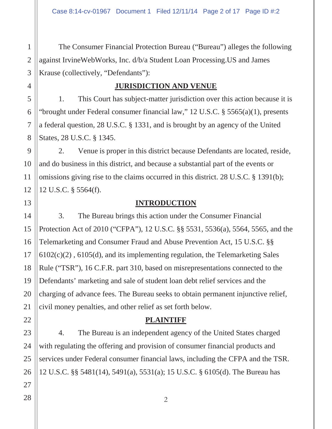The Consumer Financial Protection Bureau ("Bureau") alleges the following against IrvineWebWorks, Inc. d/b/a Student Loan Processing.US and James Krause (collectively, "Defendants"):

## **JURISDICTION AND VENUE**

1. This Court has subject-matter jurisdiction over this action because it is "brought under Federal consumer financial law," 12 U.S.C. § 5565(a)(1), presents a federal question, 28 U.S.C. § 1331, and is brought by an agency of the United States, 28 U.S.C. § 1345.

2. Venue is proper in this district because Defendants are located, reside, and do business in this district, and because a substantial part of the events or omissions giving rise to the claims occurred in this district. 28 U.S.C. § 1391(b); 12 U.S.C. § 5564(f).

## **INTRODUCTION**

3. The Bureau brings this action under the Consumer Financial Protection Act of 2010 ("CFPA"), 12 U.S.C. §§ 5531, 5536(a), 5564, 5565, and the Telemarketing and Consumer Fraud and Abuse Prevention Act, 15 U.S.C. §§ 6102(c)(2) , 6105(d), and its implementing regulation, the Telemarketing Sales Rule ("TSR"), 16 C.F.R. part 310, based on misrepresentations connected to the Defendants' marketing and sale of student loan debt relief services and the charging of advance fees. The Bureau seeks to obtain permanent injunctive relief, civil money penalties, and other relief as set forth below.

## **PLAINTIFF**

4. The Bureau is an independent agency of the United States charged with regulating the offering and provision of consumer financial products and services under Federal consumer financial laws, including the CFPA and the TSR. 12 U.S.C. §§ 5481(14), 5491(a), 5531(a); 15 U.S.C. § 6105(d). The Bureau has

1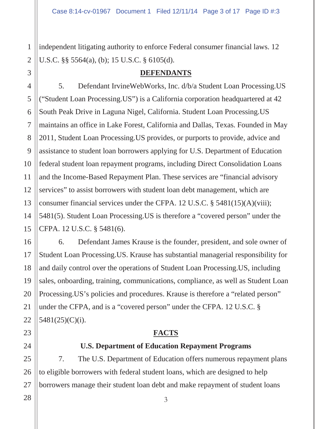independent litigating authority to enforce Federal consumer financial laws. 12 U.S.C. §§ 5564(a), (b); 15 U.S.C. § 6105(d).

#### **DEFENDANTS**

5. Defendant IrvineWebWorks, Inc. d/b/a Student Loan Processing.US ("Student Loan Processing.US") is a California corporation headquartered at 42 South Peak Drive in Laguna Nigel, California. Student Loan Processing.US maintains an office in Lake Forest, California and Dallas, Texas. Founded in May 2011, Student Loan Processing.US provides, or purports to provide, advice and assistance to student loan borrowers applying for U.S. Department of Education federal student loan repayment programs, including Direct Consolidation Loans and the Income-Based Repayment Plan. These services are "financial advisory services" to assist borrowers with student loan debt management, which are consumer financial services under the CFPA. 12 U.S.C. § 5481(15)(A)(viii); 5481(5). Student Loan Processing.US is therefore a "covered person" under the CFPA. 12 U.S.C. § 5481(6).

6. Defendant James Krause is the founder, president, and sole owner of Student Loan Processing.US. Krause has substantial managerial responsibility for and daily control over the operations of Student Loan Processing.US, including sales, onboarding, training, communications, compliance, as well as Student Loan Processing.US's policies and procedures. Krause is therefore a "related person" under the CFPA, and is a "covered person" under the CFPA. 12 U.S.C. § 5481(25)(C)(i).

## **FACTS**

#### **U.S. Department of Education Repayment Programs**

7. The U.S. Department of Education offers numerous repayment plans to eligible borrowers with federal student loans, which are designed to help borrowers manage their student loan debt and make repayment of student loans

3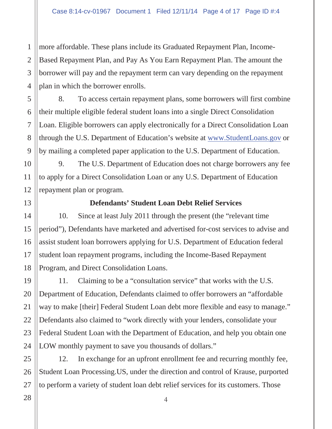more affordable. These plans include its Graduated Repayment Plan, Income-Based Repayment Plan, and Pay As You Earn Repayment Plan. The amount the borrower will pay and the repayment term can vary depending on the repayment plan in which the borrower enrolls.

8. To access certain repayment plans, some borrowers will first combine their multiple eligible federal student loans into a single Direct Consolidation Loan. Eligible borrowers can apply electronically for a Direct Consolidation Loan through the U.S. Department of Education's website at www.StudentLoans.gov or by mailing a completed paper application to the U.S. Department of Education.

9. The U.S. Department of Education does not charge borrowers any fee to apply for a Direct Consolidation Loan or any U.S. Department of Education repayment plan or program.

13

14

15

16

17

18

19

20

21

22

23

24

25

1

2

3

4

5

6

7

8

9

10

11

12

#### **Defendants' Student Loan Debt Relief Services**

10. Since at least July 2011 through the present (the "relevant time period"), Defendants have marketed and advertised for-cost services to advise and assist student loan borrowers applying for U.S. Department of Education federal student loan repayment programs, including the Income-Based Repayment Program, and Direct Consolidation Loans.

11. Claiming to be a "consultation service" that works with the U.S. Department of Education, Defendants claimed to offer borrowers an "affordable way to make [their] Federal Student Loan debt more flexible and easy to manage." Defendants also claimed to "work directly with your lenders, consolidate your Federal Student Loan with the Department of Education, and help you obtain one LOW monthly payment to save you thousands of dollars."

12. In exchange for an upfront enrollment fee and recurring monthly fee, Student Loan Processing.US, under the direction and control of Krause, purported to perform a variety of student loan debt relief services for its customers. Those

4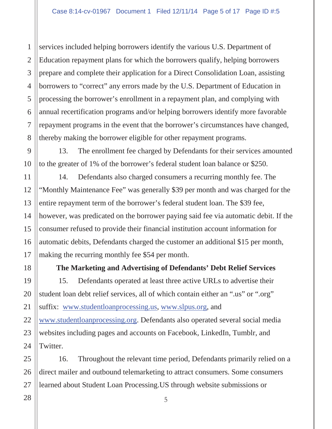services included helping borrowers identify the various U.S. Department of Education repayment plans for which the borrowers qualify, helping borrowers prepare and complete their application for a Direct Consolidation Loan, assisting borrowers to "correct" any errors made by the U.S. Department of Education in processing the borrower's enrollment in a repayment plan, and complying with annual recertification programs and/or helping borrowers identify more favorable repayment programs in the event that the borrower's circumstances have changed, thereby making the borrower eligible for other repayment programs.

13. The enrollment fee charged by Defendants for their services amounted to the greater of 1% of the borrower's federal student loan balance or \$250.

14. Defendants also charged consumers a recurring monthly fee. The "Monthly Maintenance Fee" was generally \$39 per month and was charged for the entire repayment term of the borrower's federal student loan. The \$39 fee, however, was predicated on the borrower paying said fee via automatic debit. If the consumer refused to provide their financial institution account information for automatic debits, Defendants charged the customer an additional \$15 per month, making the recurring monthly fee \$54 per month.

**The Marketing and Advertising of Defendants' Debt Relief Services**

15. Defendants operated at least three active URLs to advertise their student loan debt relief services, all of which contain either an ".us" or ".org" suffix: www.studentloanprocessing.us, www.slpus.org, and www.studentloanprocessing.org. Defendants also operated several social media websites including pages and accounts on Facebook, LinkedIn, Tumblr, and Twitter.

16. Throughout the relevant time period, Defendants primarily relied on a direct mailer and outbound telemarketing to attract consumers. Some consumers learned about Student Loan Processing.US through website submissions or

1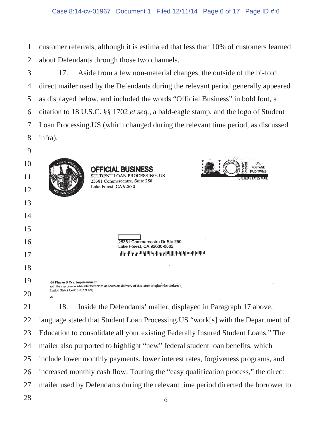1 customer referrals, although it is estimated that less than 10% of customers learned about Defendants through those two channels.

17. Aside from a few non-material changes, the outside of the bi-fold direct mailer used by the Defendants during the relevant period generally appeared as displayed below, and included the words "Official Business" in bold font, a citation to 18 U.S.C. §§ 1702 *et seq.*, a bald-eagle stamp, and the logo of Student Loan Processing.US (which changed during the relevant time period, as discussed infra).



**OFFICIAL BUSINESS** STUDENT LOAN PROCESSING. US 25381 Commercentre, Suite 250 Lake Forest, CA 92630



25381 Commercentre Dr Ste 250 Lake Forest, CA 92630-8882 երի պել երկրիկիների կախությունների հ

00 Fine or 5 Yrs. Imprisonment oth for any person who interferes with or obstructs delivery of this letter or otherwise violates -United States Code 1702 et seq

18. Inside the Defendants' mailer, displayed in Paragraph 17 above, language stated that Student Loan Processing.US "work[s] with the Department of Education to consolidate all your existing Federally Insured Student Loans." The mailer also purported to highlight "new" federal student loan benefits, which include lower monthly payments, lower interest rates, forgiveness programs, and increased monthly cash flow. Touting the "easy qualification process," the direct mailer used by Defendants during the relevant time period directed the borrower to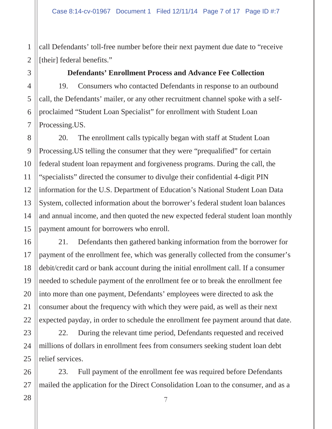1 call Defendants' toll-free number before their next payment due date to "receive [their] federal benefits."

#### **Defendants' Enrollment Process and Advance Fee Collection**

19. Consumers who contacted Defendants in response to an outbound call, the Defendants' mailer, or any other recruitment channel spoke with a selfproclaimed "Student Loan Specialist" for enrollment with Student Loan Processing.US.

20. The enrollment calls typically began with staff at Student Loan Processing.US telling the consumer that they were "prequalified" for certain federal student loan repayment and forgiveness programs. During the call, the "specialists" directed the consumer to divulge their confidential 4-digit PIN information for the U.S. Department of Education's National Student Loan Data System, collected information about the borrower's federal student loan balances and annual income, and then quoted the new expected federal student loan monthly payment amount for borrowers who enroll.

21. Defendants then gathered banking information from the borrower for payment of the enrollment fee, which was generally collected from the consumer's debit/credit card or bank account during the initial enrollment call. If a consumer needed to schedule payment of the enrollment fee or to break the enrollment fee into more than one payment, Defendants' employees were directed to ask the consumer about the frequency with which they were paid, as well as their next expected payday, in order to schedule the enrollment fee payment around that date.

22. During the relevant time period, Defendants requested and received millions of dollars in enrollment fees from consumers seeking student loan debt relief services.

23. Full payment of the enrollment fee was required before Defendants mailed the application for the Direct Consolidation Loan to the consumer, and as a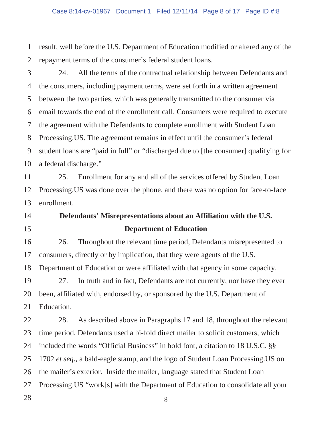result, well before the U.S. Department of Education modified or altered any of the repayment terms of the consumer's federal student loans.

24. All the terms of the contractual relationship between Defendants and the consumers, including payment terms, were set forth in a written agreement between the two parties, which was generally transmitted to the consumer via email towards the end of the enrollment call. Consumers were required to execute the agreement with the Defendants to complete enrollment with Student Loan Processing.US. The agreement remains in effect until the consumer's federal student loans are "paid in full" or "discharged due to [the consumer] qualifying for a federal discharge."

25. Enrollment for any and all of the services offered by Student Loan Processing.US was done over the phone, and there was no option for face-to-face enrollment.

# **Defendants' Misrepresentations about an Affiliation with the U.S. Department of Education**

26. Throughout the relevant time period, Defendants misrepresented to consumers, directly or by implication, that they were agents of the U.S. Department of Education or were affiliated with that agency in some capacity.

27. In truth and in fact, Defendants are not currently, nor have they ever been, affiliated with, endorsed by, or sponsored by the U.S. Department of Education.

28. As described above in Paragraphs 17 and 18, throughout the relevant time period, Defendants used a bi-fold direct mailer to solicit customers, which included the words "Official Business" in bold font, a citation to 18 U.S.C. §§ 1702 *et seq.*, a bald-eagle stamp, and the logo of Student Loan Processing.US on the mailer's exterior. Inside the mailer, language stated that Student Loan Processing.US "work[s] with the Department of Education to consolidate all your

8

1

2

3

4

5

6

7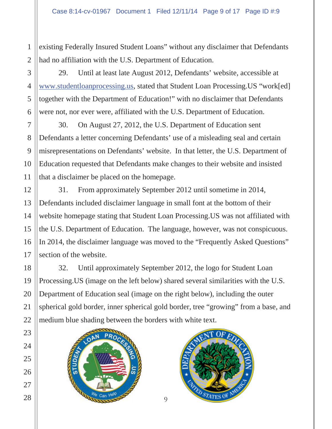existing Federally Insured Student Loans" without any disclaimer that Defendants had no affiliation with the U.S. Department of Education.

29. Until at least late August 2012, Defendants' website, accessible at www.studentloanprocessing.us, stated that Student Loan Processing.US "work[ed] together with the Department of Education!" with no disclaimer that Defendants were not, nor ever were, affiliated with the U.S. Department of Education.

30. On August 27, 2012, the U.S. Department of Education sent Defendants a letter concerning Defendants' use of a misleading seal and certain misrepresentations on Defendants' website. In that letter, the U.S. Department of Education requested that Defendants make changes to their website and insisted that a disclaimer be placed on the homepage.

31. From approximately September 2012 until sometime in 2014, Defendants included disclaimer language in small font at the bottom of their website homepage stating that Student Loan Processing.US was not affiliated with the U.S. Department of Education. The language, however, was not conspicuous. In 2014, the disclaimer language was moved to the "Frequently Asked Questions" section of the website.

32. Until approximately September 2012, the logo for Student Loan Processing.US (image on the left below) shared several similarities with the U.S. Department of Education seal (image on the right below), including the outer spherical gold border, inner spherical gold border, tree "growing" from a base, and medium blue shading between the borders with white text.



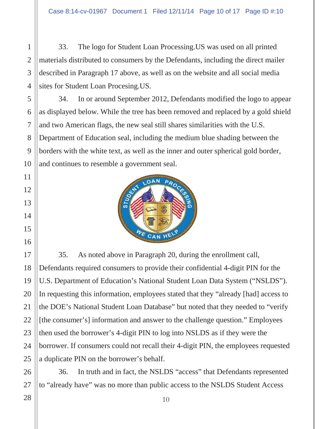33. The logo for Student Loan Processing.US was used on all printed materials distributed to consumers by the Defendants, including the direct mailer described in Paragraph 17 above, as well as on the website and all social media sites for Student Loan Procesing.US.

34. In or around September 2012, Defendants modified the logo to appear as displayed below. While the tree has been removed and replaced by a gold shield and two American flags, the new seal still shares similarities with the U.S. Department of Education seal, including the medium blue shading between the borders with the white text, as well as the inner and outer spherical gold border, and continues to resemble a government seal.



35. As noted above in Paragraph 20, during the enrollment call, Defendants required consumers to provide their confidential 4-digit PIN for the U.S. Department of Education's National Student Loan Data System ("NSLDS"). In requesting this information, employees stated that they "already [had] access to the DOE's National Student Loan Database" but noted that they needed to "verify [the consumer's] information and answer to the challenge question." Employees then used the borrower's 4-digit PIN to log into NSLDS as if they were the borrower. If consumers could not recall their 4-digit PIN, the employees requested a duplicate PIN on the borrower's behalf.

36. In truth and in fact, the NSLDS "access" that Defendants represented to "already have" was no more than public access to the NSLDS Student Access

1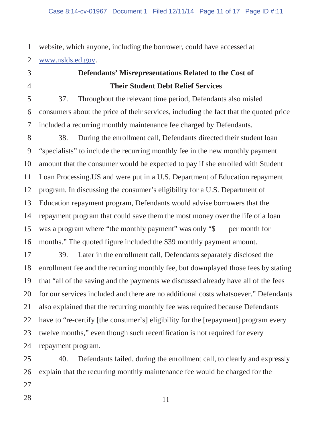1 website, which anyone, including the borrower, could have accessed at www.nslds.ed.gov.

# **Defendants' Misrepresentations Related to the Cost of Their Student Debt Relief Services**

37. Throughout the relevant time period, Defendants also misled consumers about the price of their services, including the fact that the quoted price included a recurring monthly maintenance fee charged by Defendants.

38. During the enrollment call, Defendants directed their student loan "specialists" to include the recurring monthly fee in the new monthly payment amount that the consumer would be expected to pay if she enrolled with Student Loan Processing.US and were put in a U.S. Department of Education repayment program. In discussing the consumer's eligibility for a U.S. Department of Education repayment program, Defendants would advise borrowers that the repayment program that could save them the most money over the life of a loan was a program where "the monthly payment" was only "\$<sub>\_\_\_</sub> per month for \_\_\_ months." The quoted figure included the \$39 monthly payment amount.

39. Later in the enrollment call, Defendants separately disclosed the enrollment fee and the recurring monthly fee, but downplayed those fees by stating that "all of the saving and the payments we discussed already have all of the fees for our services included and there are no additional costs whatsoever." Defendants also explained that the recurring monthly fee was required because Defendants have to "re-certify [the consumer's] eligibility for the [repayment] program every twelve months," even though such recertification is not required for every repayment program.

40. Defendants failed, during the enrollment call, to clearly and expressly explain that the recurring monthly maintenance fee would be charged for the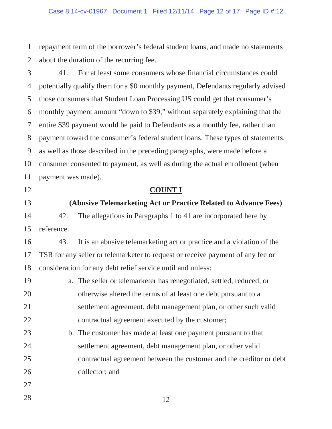repayment term of the borrower's federal student loans, and made no statements about the duration of the recurring fee.

41. For at least some consumers whose financial circumstances could potentially qualify them for a \$0 monthly payment, Defendants regularly advised those consumers that Student Loan Processing.US could get that consumer's monthly payment amount "down to \$39," without separately explaining that the entire \$39 payment would be paid to Defendants as a monthly fee, rather than payment toward the consumer's federal student loans. These types of statements, as well as those described in the preceding paragraphs, were made before a consumer consented to payment, as well as during the actual enrollment (when payment was made).

#### **COUNT I**

#### **(Abusive Telemarketing Act or Practice Related to Advance Fees)**

42. The allegations in Paragraphs 1 to 41 are incorporated here by reference.

43. It is an abusive telemarketing act or practice and a violation of the TSR for any seller or telemarketer to request or receive payment of any fee or consideration for any debt relief service until and unless:

- a. The seller or telemarketer has renegotiated, settled, reduced, or otherwise altered the terms of at least one debt pursuant to a settlement agreement, debt management plan, or other such valid contractual agreement executed by the customer;
	- b. The customer has made at least one payment pursuant to that settlement agreement, debt management plan, or other valid contractual agreement between the customer and the creditor or debt collector; and

1

2

3

4

5

6

7

8

9

10

11

12

13

14

15

16

17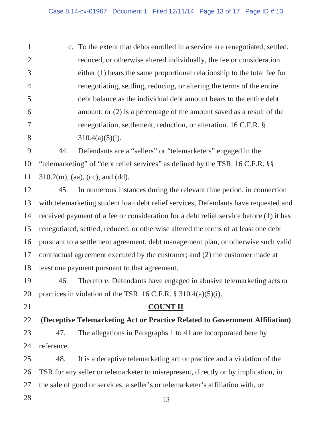c. To the extent that debts enrolled in a service are renegotiated, settled, reduced, or otherwise altered individually, the fee or consideration either (1) bears the same proportional relationship to the total fee for renegotiating, settling, reducing, or altering the terms of the entire debt balance as the individual debt amount bears to the entire debt amount; or (2) is a percentage of the amount saved as a result of the renegotiation, settlement, reduction, or alteration. 16 C.F.R. §  $310.4(a)(5)(i)$ .

44. Defendants are a "sellers" or "telemarketers" engaged in the "telemarketing" of "debt relief services" as defined by the TSR. 16 C.F.R. §§  $310.2(m)$ , (aa), (cc), and (dd).

45. In numerous instances during the relevant time period, in connection with telemarketing student loan debt relief services, Defendants have requested and received payment of a fee or consideration for a debt relief service before (1) it has renegotiated, settled, reduced, or otherwise altered the terms of at least one debt pursuant to a settlement agreement, debt management plan, or otherwise such valid contractual agreement executed by the customer; and (2) the customer made at least one payment pursuant to that agreement.

46. Therefore, Defendants have engaged in abusive telemarketing acts or practices in violation of the TSR. 16 C.F.R.  $\S 310.4(a)(5)(i)$ .

## **COUNT II**

**(Deceptive Telemarketing Act or Practice Related to Government Affiliation)**

47. The allegations in Paragraphs 1 to 41 are incorporated here by reference.

48. It is a deceptive telemarketing act or practice and a violation of the TSR for any seller or telemarketer to misrepresent, directly or by implication, in the sale of good or services, a seller's or telemarketer's affiliation with, or

13

1

2

3

4

5

6

7

8

9

10

11

12

13

14

15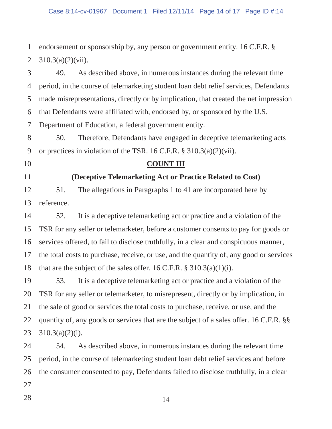1 2 endorsement or sponsorship by, any person or government entity. 16 C.F.R. § 310.3(a)(2)(vii).

49. As described above, in numerous instances during the relevant time period, in the course of telemarketing student loan debt relief services, Defendants made misrepresentations, directly or by implication, that created the net impression that Defendants were affiliated with, endorsed by, or sponsored by the U.S. Department of Education, a federal government entity.

50. Therefore, Defendants have engaged in deceptive telemarketing acts or practices in violation of the TSR. 16 C.F.R. § 310.3(a)(2)(vii).

**COUNT III**

#### **(Deceptive Telemarketing Act or Practice Related to Cost)**

51. The allegations in Paragraphs 1 to 41 are incorporated here by reference.

52. It is a deceptive telemarketing act or practice and a violation of the TSR for any seller or telemarketer, before a customer consents to pay for goods or services offered, to fail to disclose truthfully, in a clear and conspicuous manner, the total costs to purchase, receive, or use, and the quantity of, any good or services that are the subject of the sales offer. 16 C.F.R.  $\S 310.3(a)(1)(i)$ .

53. It is a deceptive telemarketing act or practice and a violation of the TSR for any seller or telemarketer, to misrepresent, directly or by implication, in the sale of good or services the total costs to purchase, receive, or use, and the quantity of, any goods or services that are the subject of a sales offer. 16 C.F.R. §§ 310.3(a)(2)(i).

54. As described above, in numerous instances during the relevant time period, in the course of telemarketing student loan debt relief services and before the consumer consented to pay, Defendants failed to disclose truthfully, in a clear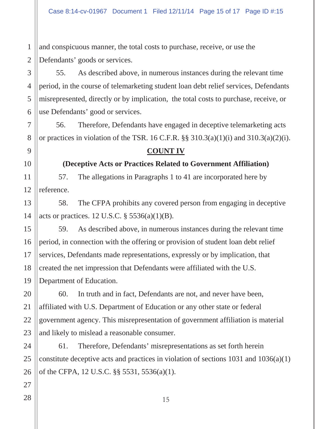1 2 and conspicuous manner, the total costs to purchase, receive, or use the Defendants' goods or services.

55. As described above, in numerous instances during the relevant time period, in the course of telemarketing student loan debt relief services, Defendants misrepresented, directly or by implication, the total costs to purchase, receive, or use Defendants' good or services.

56. Therefore, Defendants have engaged in deceptive telemarketing acts or practices in violation of the TSR. 16 C.F.R.  $\S$ § 310.3(a)(1)(i) and 310.3(a)(2)(i).

#### **COUNT IV**

#### **(Deceptive Acts or Practices Related to Government Affiliation)**

57. The allegations in Paragraphs 1 to 41 are incorporated here by reference.

58. The CFPA prohibits any covered person from engaging in deceptive acts or practices. 12 U.S.C. § 5536(a)(1)(B).

59. As described above, in numerous instances during the relevant time period, in connection with the offering or provision of student loan debt relief services, Defendants made representations, expressly or by implication, that created the net impression that Defendants were affiliated with the U.S. Department of Education.

60. In truth and in fact, Defendants are not, and never have been, affiliated with U.S. Department of Education or any other state or federal government agency. This misrepresentation of government affiliation is material and likely to mislead a reasonable consumer.

61. Therefore, Defendants' misrepresentations as set forth herein constitute deceptive acts and practices in violation of sections  $1031$  and  $1036(a)(1)$ of the CFPA, 12 U.S.C. §§ 5531, 5536(a)(1).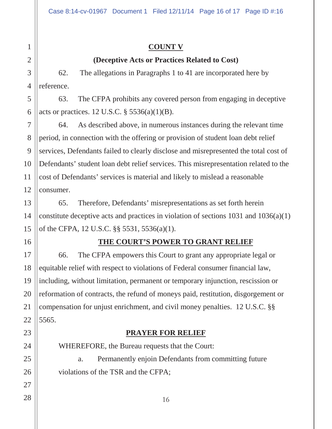# 1 2 3 4 5 6 7 8 9 10 11 12 13 14 15 16 17 18 19 20 21 22 23 24 25 26 27 28

## **COUNT V**

## **(Deceptive Acts or Practices Related to Cost)**

62. The allegations in Paragraphs 1 to 41 are incorporated here by reference.

63. The CFPA prohibits any covered person from engaging in deceptive acts or practices. 12 U.S.C.  $\S$  5536(a)(1)(B).

64. As described above, in numerous instances during the relevant time period, in connection with the offering or provision of student loan debt relief services, Defendants failed to clearly disclose and misrepresented the total cost of Defendants' student loan debt relief services. This misrepresentation related to the cost of Defendants' services is material and likely to mislead a reasonable consumer.

65. Therefore, Defendants' misrepresentations as set forth herein constitute deceptive acts and practices in violation of sections  $1031$  and  $1036(a)(1)$ of the CFPA, 12 U.S.C. §§ 5531, 5536(a)(1).

# **THE COURT'S POWER TO GRANT RELIEF**

66. The CFPA empowers this Court to grant any appropriate legal or equitable relief with respect to violations of Federal consumer financial law, including, without limitation, permanent or temporary injunction, rescission or reformation of contracts, the refund of moneys paid, restitution, disgorgement or compensation for unjust enrichment, and civil money penalties. 12 U.S.C. §§ 5565.

# **PRAYER FOR RELIEF**

WHEREFORE, the Bureau requests that the Court: a. Permanently enjoin Defendants from committing future violations of the TSR and the CFPA;